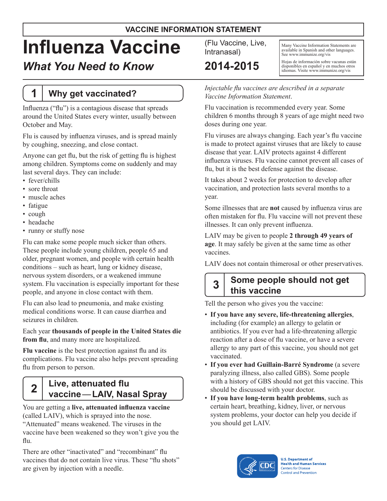**VACCINE INFORMATION STATEMENT**

# **Influenza Vaccine**

# *What You Need to Know*

## **1 Why get vaccinated?**

Influenza ("flu") is a contagious disease that spreads around the United States every winter, usually between October and May.

Flu is caused by influenza viruses, and is spread mainly by coughing, sneezing, and close contact.

Anyone can get flu, but the risk of getting flu is highest among children. Symptoms come on suddenly and may last several days. They can include:

- fever/chills
- sore throat
- muscle aches
- fatigue
- cough
- headache
- runny or stuffy nose

Flu can make some people much sicker than others. These people include young children, people 65 and older, pregnant women, and people with certain health conditions – such as heart, lung or kidney disease, nervous system disorders, or a weakened immune system. Flu vaccination is especially important for these people, and anyone in close contact with them.

Flu can also lead to pneumonia, and make existing medical conditions worse. It can cause diarrhea and seizures in children.

Each year **thousands of people in the United States die from flu**, and many more are hospitalized.

**Flu vaccine** is the best protection against flu and its complications. Flu vaccine also helps prevent spreading flu from person to person.

## **2 Live, attenuated flu vaccine**—**LAIV, Nasal Spray**

You are getting a **live, attenuated influenza vaccine**  (called LAIV), which is sprayed into the nose. "Attenuated" means weakened. The viruses in the vaccine have been weakened so they won't give you the flu.

There are other "inactivated" and "recombinant" flu vaccines that do not contain live virus. These "flu shots" are given by injection with a needle.

(Flu Vaccine, Live, Intranasal)

Many Vaccine Information Statements are available in Spanish and other languages. See www.immunize.org/vis

**2014-2015**

Hojas de información sobre vacunas están disponibles en español y en muchos otros idiomas. Visite www.immunize.org/vis

*Injectable flu vaccines are described in a separate Vaccine Information Statement*.

Flu vaccination is recommended every year. Some children 6 months through 8 years of age might need two doses during one year.

Flu viruses are always changing. Each year's flu vaccine is made to protect against viruses that are likely to cause disease that year. LAIV protects against 4 different influenza viruses. Flu vaccine cannot prevent all cases of flu, but it is the best defense against the disease.

It takes about 2 weeks for protection to develop after vaccination, and protection lasts several months to a year.

Some illnesses that are **not** caused by influenza virus are often mistaken for flu. Flu vaccine will not prevent these illnesses. It can only prevent influenza.

LAIV may be given to people **2 through 49 years of age**. It may safely be given at the same time as other vaccines.

LAIV does not contain thimerosal or other preservatives.

### **3 Some people should not get this vaccine**

Tell the person who gives you the vaccine:

- **If you have any severe, life-threatening allergies**, including (for example) an allergy to gelatin or antibiotics. If you ever had a life-threatening allergic reaction after a dose of flu vaccine, or have a severe allergy to any part of this vaccine, you should not get vaccinated.
- **If you ever had Guillain-Barré Syndrome** (a severe paralyzing illness, also called GBS). Some people with a history of GBS should not get this vaccine. This should be discussed with your doctor.
- **If you have long-term health problems**, such as certain heart, breathing, kidney, liver, or nervous system problems, your doctor can help you decide if you should get LAIV.



**U.S. Department of Health and Human Services Centers for Disease Control and Prevention**